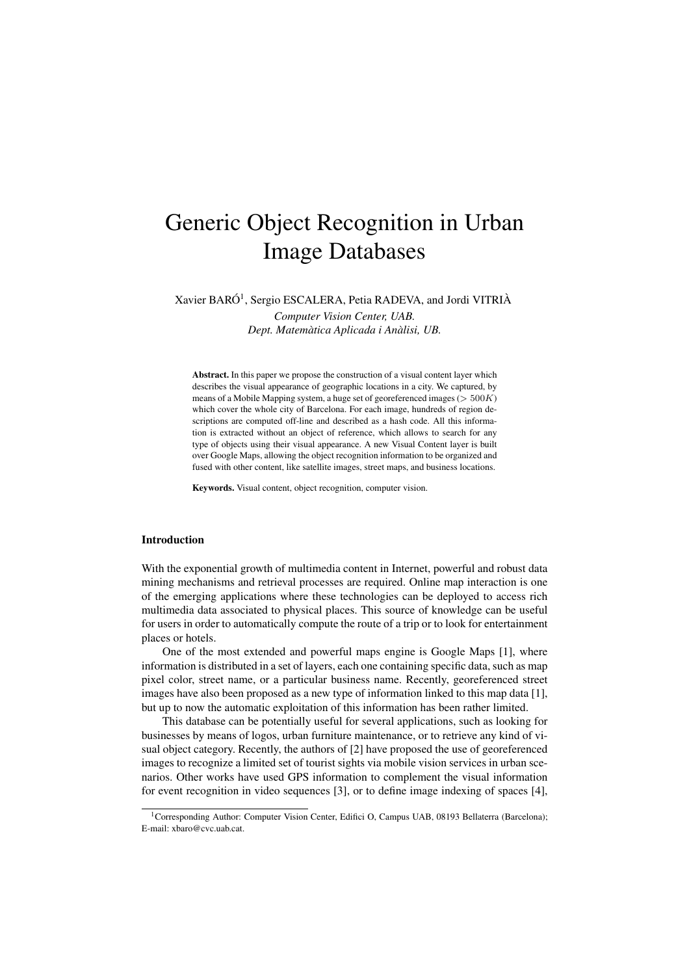# Generic Object Recognition in Urban Image Databases

Xavier BARÓ<sup>1</sup>, Sergio ESCALERA, Petia RADEVA, and Jordi VITRIÀ

*Computer Vision Center, UAB. Dept. Matemàtica Aplicada i Anàlisi, UB.*

Abstract. In this paper we propose the construction of a visual content layer which describes the visual appearance of geographic locations in a city. We captured, by means of a Mobile Mapping system, a huge set of georeferenced images ( $>500K$ ) which cover the whole city of Barcelona. For each image, hundreds of region descriptions are computed off-line and described as a hash code. All this information is extracted without an object of reference, which allows to search for any type of objects using their visual appearance. A new Visual Content layer is built over Google Maps, allowing the object recognition information to be organized and fused with other content, like satellite images, street maps, and business locations.

Keywords. Visual content, object recognition, computer vision.

## Introduction

With the exponential growth of multimedia content in Internet, powerful and robust data mining mechanisms and retrieval processes are required. Online map interaction is one of the emerging applications where these technologies can be deployed to access rich multimedia data associated to physical places. This source of knowledge can be useful for users in order to automatically compute the route of a trip or to look for entertainment places or hotels.

One of the most extended and powerful maps engine is Google Maps [1], where information is distributed in a set of layers, each one containing specific data, such as map pixel color, street name, or a particular business name. Recently, georeferenced street images have also been proposed as a new type of information linked to this map data [1], but up to now the automatic exploitation of this information has been rather limited.

This database can be potentially useful for several applications, such as looking for businesses by means of logos, urban furniture maintenance, or to retrieve any kind of visual object category. Recently, the authors of [2] have proposed the use of georeferenced images to recognize a limited set of tourist sights via mobile vision services in urban scenarios. Other works have used GPS information to complement the visual information for event recognition in video sequences [3], or to define image indexing of spaces [4],

<sup>&</sup>lt;sup>1</sup>Corresponding Author: Computer Vision Center, Edifici O, Campus UAB, 08193 Bellaterra (Barcelona); E-mail: xbaro@cvc.uab.cat.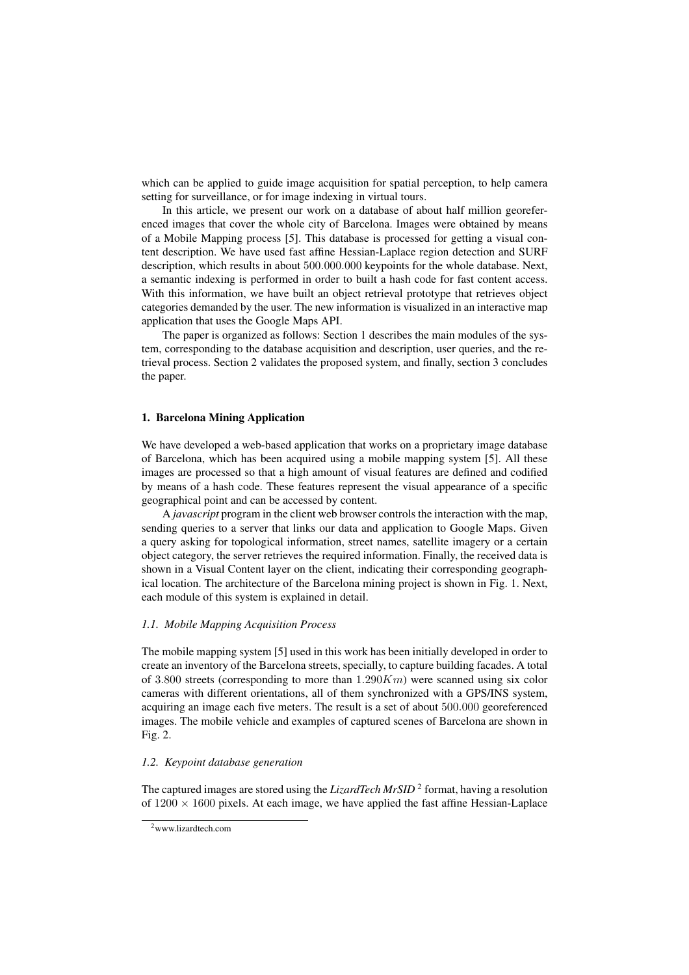which can be applied to guide image acquisition for spatial perception, to help camera setting for surveillance, or for image indexing in virtual tours.

In this article, we present our work on a database of about half million georeferenced images that cover the whole city of Barcelona. Images were obtained by means of a Mobile Mapping process [5]. This database is processed for getting a visual content description. We have used fast affine Hessian-Laplace region detection and SURF description, which results in about 500.000.000 keypoints for the whole database. Next, a semantic indexing is performed in order to built a hash code for fast content access. With this information, we have built an object retrieval prototype that retrieves object categories demanded by the user. The new information is visualized in an interactive map application that uses the Google Maps API.

The paper is organized as follows: Section 1 describes the main modules of the system, corresponding to the database acquisition and description, user queries, and the retrieval process. Section 2 validates the proposed system, and finally, section 3 concludes the paper.

## 1. Barcelona Mining Application

We have developed a web-based application that works on a proprietary image database of Barcelona, which has been acquired using a mobile mapping system [5]. All these images are processed so that a high amount of visual features are defined and codified by means of a hash code. These features represent the visual appearance of a specific geographical point and can be accessed by content.

A *javascript* program in the client web browser controls the interaction with the map, sending queries to a server that links our data and application to Google Maps. Given a query asking for topological information, street names, satellite imagery or a certain object category, the server retrieves the required information. Finally, the received data is shown in a Visual Content layer on the client, indicating their corresponding geographical location. The architecture of the Barcelona mining project is shown in Fig. 1. Next, each module of this system is explained in detail.

#### *1.1. Mobile Mapping Acquisition Process*

The mobile mapping system [5] used in this work has been initially developed in order to create an inventory of the Barcelona streets, specially, to capture building facades. A total of 3.800 streets (corresponding to more than  $1.290Km$ ) were scanned using six color cameras with different orientations, all of them synchronized with a GPS/INS system, acquiring an image each five meters. The result is a set of about 500.000 georeferenced images. The mobile vehicle and examples of captured scenes of Barcelona are shown in Fig. 2.

#### *1.2. Keypoint database generation*

The captured images are stored using the *LizardTech MrSID*<sup>2</sup> format, having a resolution of  $1200 \times 1600$  pixels. At each image, we have applied the fast affine Hessian-Laplace

<sup>2</sup>www.lizardtech.com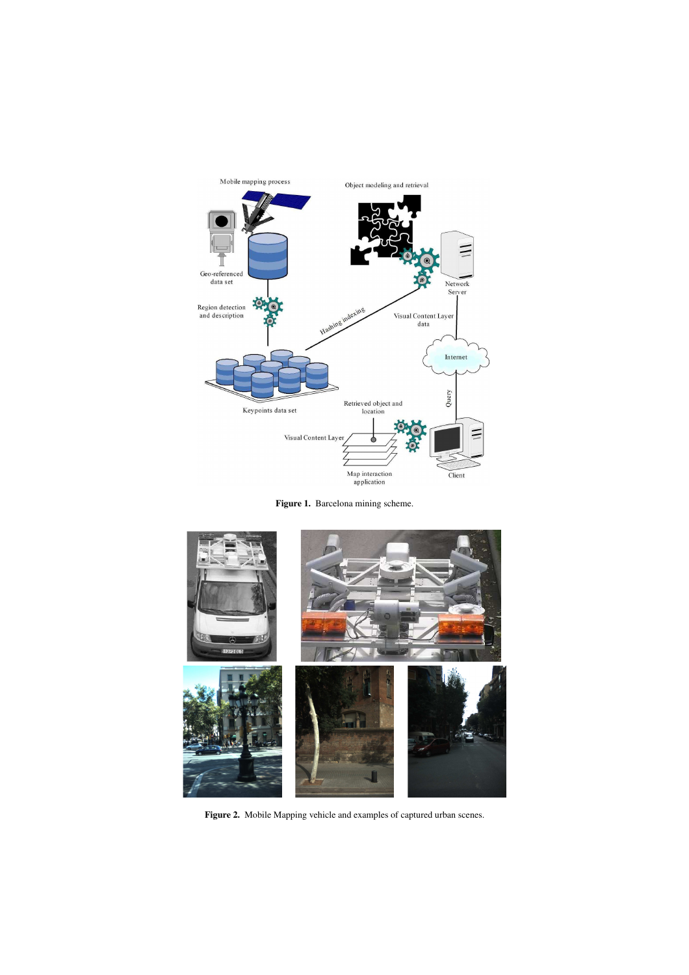

Figure 1. Barcelona mining scheme.



Figure 2. Mobile Mapping vehicle and examples of captured urban scenes.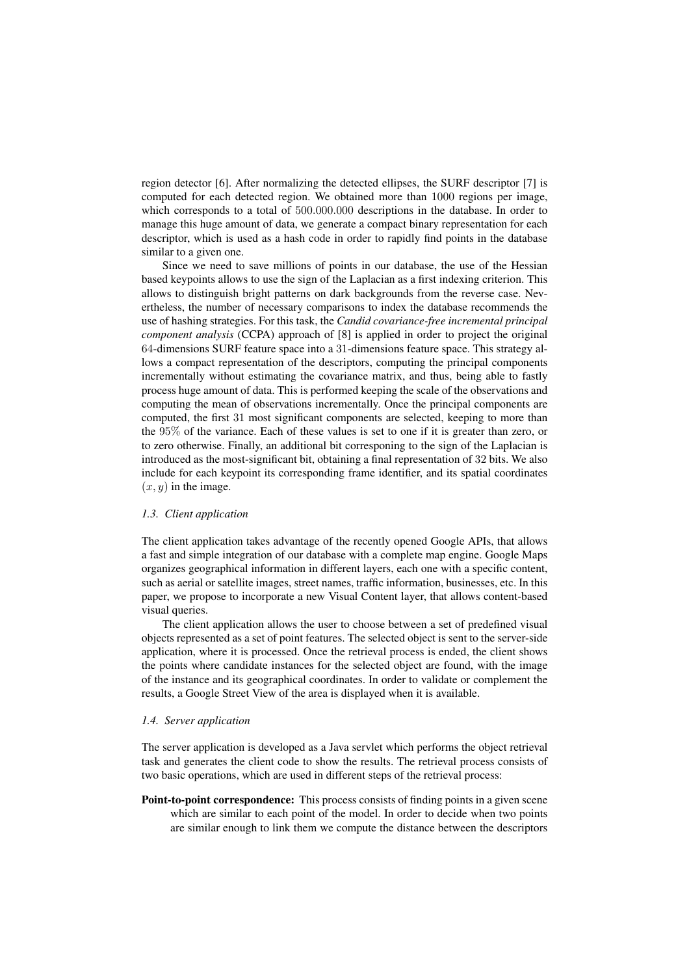region detector [6]. After normalizing the detected ellipses, the SURF descriptor [7] is computed for each detected region. We obtained more than 1000 regions per image, which corresponds to a total of 500.000.000 descriptions in the database. In order to manage this huge amount of data, we generate a compact binary representation for each descriptor, which is used as a hash code in order to rapidly find points in the database similar to a given one.

Since we need to save millions of points in our database, the use of the Hessian based keypoints allows to use the sign of the Laplacian as a first indexing criterion. This allows to distinguish bright patterns on dark backgrounds from the reverse case. Nevertheless, the number of necessary comparisons to index the database recommends the use of hashing strategies. For this task, the *Candid covariance-free incremental principal component analysis* (CCPA) approach of [8] is applied in order to project the original 64-dimensions SURF feature space into a 31-dimensions feature space. This strategy allows a compact representation of the descriptors, computing the principal components incrementally without estimating the covariance matrix, and thus, being able to fastly process huge amount of data. This is performed keeping the scale of the observations and computing the mean of observations incrementally. Once the principal components are computed, the first 31 most significant components are selected, keeping to more than the 95% of the variance. Each of these values is set to one if it is greater than zero, or to zero otherwise. Finally, an additional bit corresponing to the sign of the Laplacian is introduced as the most-significant bit, obtaining a final representation of 32 bits. We also include for each keypoint its corresponding frame identifier, and its spatial coordinates  $(x, y)$  in the image.

# *1.3. Client application*

The client application takes advantage of the recently opened Google APIs, that allows a fast and simple integration of our database with a complete map engine. Google Maps organizes geographical information in different layers, each one with a specific content, such as aerial or satellite images, street names, traffic information, businesses, etc. In this paper, we propose to incorporate a new Visual Content layer, that allows content-based visual queries.

The client application allows the user to choose between a set of predefined visual objects represented as a set of point features. The selected object is sent to the server-side application, where it is processed. Once the retrieval process is ended, the client shows the points where candidate instances for the selected object are found, with the image of the instance and its geographical coordinates. In order to validate or complement the results, a Google Street View of the area is displayed when it is available.

#### *1.4. Server application*

The server application is developed as a Java servlet which performs the object retrieval task and generates the client code to show the results. The retrieval process consists of two basic operations, which are used in different steps of the retrieval process:

Point-to-point correspondence: This process consists of finding points in a given scene which are similar to each point of the model. In order to decide when two points are similar enough to link them we compute the distance between the descriptors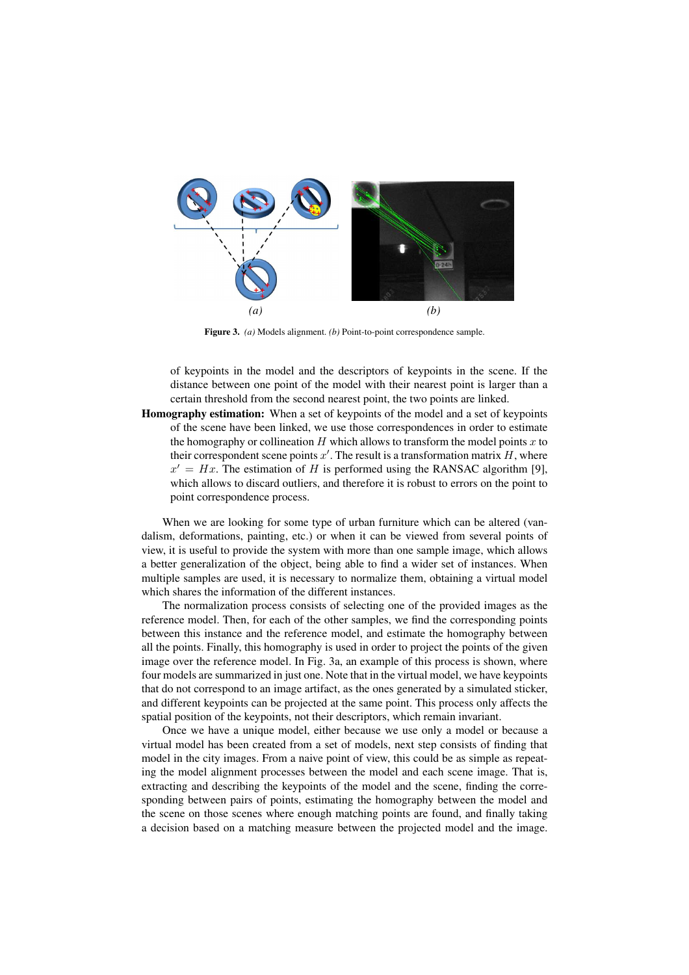

Figure 3. *(a)* Models alignment. *(b)* Point-to-point correspondence sample.

of keypoints in the model and the descriptors of keypoints in the scene. If the distance between one point of the model with their nearest point is larger than a certain threshold from the second nearest point, the two points are linked.

Homography estimation: When a set of keypoints of the model and a set of keypoints of the scene have been linked, we use those correspondences in order to estimate the homography or collineation  $H$  which allows to transform the model points  $x$  to their correspondent scene points  $x'$ . The result is a transformation matrix H, where  $x' = Hx$ . The estimation of H is performed using the RANSAC algorithm [9], which allows to discard outliers, and therefore it is robust to errors on the point to point correspondence process.

When we are looking for some type of urban furniture which can be altered (vandalism, deformations, painting, etc.) or when it can be viewed from several points of view, it is useful to provide the system with more than one sample image, which allows a better generalization of the object, being able to find a wider set of instances. When multiple samples are used, it is necessary to normalize them, obtaining a virtual model which shares the information of the different instances.

The normalization process consists of selecting one of the provided images as the reference model. Then, for each of the other samples, we find the corresponding points between this instance and the reference model, and estimate the homography between all the points. Finally, this homography is used in order to project the points of the given image over the reference model. In Fig. 3a, an example of this process is shown, where four models are summarized in just one. Note that in the virtual model, we have keypoints that do not correspond to an image artifact, as the ones generated by a simulated sticker, and different keypoints can be projected at the same point. This process only affects the spatial position of the keypoints, not their descriptors, which remain invariant.

Once we have a unique model, either because we use only a model or because a virtual model has been created from a set of models, next step consists of finding that model in the city images. From a naive point of view, this could be as simple as repeating the model alignment processes between the model and each scene image. That is, extracting and describing the keypoints of the model and the scene, finding the corresponding between pairs of points, estimating the homography between the model and the scene on those scenes where enough matching points are found, and finally taking a decision based on a matching measure between the projected model and the image.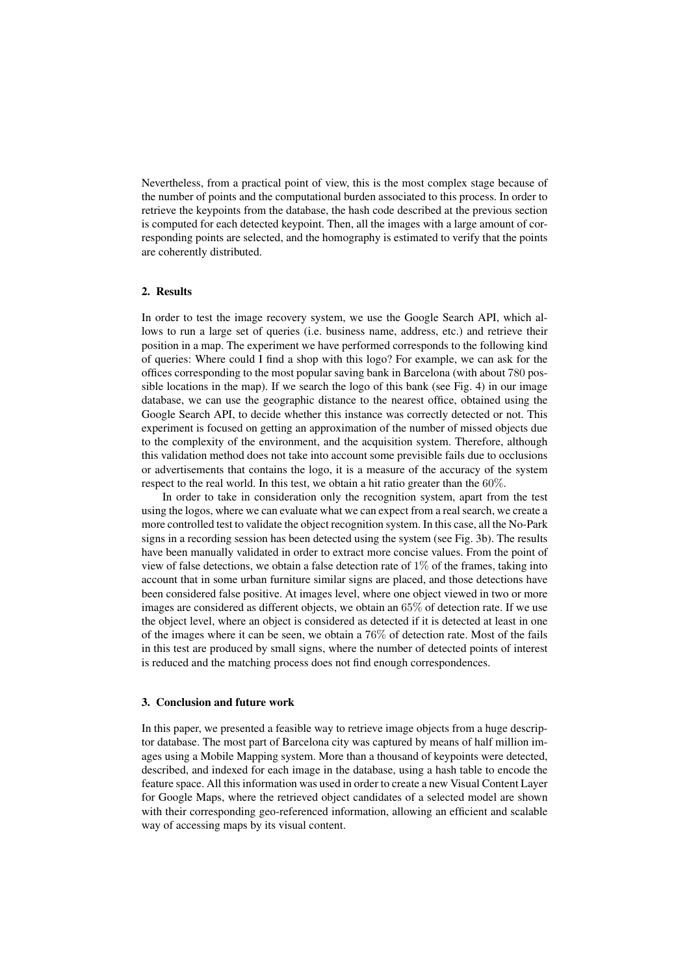Nevertheless, from a practical point of view, this is the most complex stage because of the number of points and the computational burden associated to this process. In order to retrieve the keypoints from the database, the hash code described at the previous section is computed for each detected keypoint. Then, all the images with a large amount of corresponding points are selected, and the homography is estimated to verify that the points are coherently distributed.

#### 2. Results

In order to test the image recovery system, we use the Google Search API, which allows to run a large set of queries (i.e. business name, address, etc.) and retrieve their position in a map. The experiment we have performed corresponds to the following kind of queries: Where could I find a shop with this logo? For example, we can ask for the offices corresponding to the most popular saving bank in Barcelona (with about 780 possible locations in the map). If we search the logo of this bank (see Fig. 4) in our image database, we can use the geographic distance to the nearest office, obtained using the Google Search API, to decide whether this instance was correctly detected or not. This experiment is focused on getting an approximation of the number of missed objects due to the complexity of the environment, and the acquisition system. Therefore, although this validation method does not take into account some previsible fails due to occlusions or advertisements that contains the logo, it is a measure of the accuracy of the system respect to the real world. In this test, we obtain a hit ratio greater than the 60%.

In order to take in consideration only the recognition system, apart from the test using the logos, where we can evaluate what we can expect from a real search, we create a more controlled test to validate the object recognition system. In this case, all the No-Park signs in a recording session has been detected using the system (see Fig. 3b). The results have been manually validated in order to extract more concise values. From the point of view of false detections, we obtain a false detection rate of  $1\%$  of the frames, taking into account that in some urban furniture similar signs are placed, and those detections have been considered false positive. At images level, where one object viewed in two or more images are considered as different objects, we obtain an 65% of detection rate. If we use the object level, where an object is considered as detected if it is detected at least in one of the images where it can be seen, we obtain a 76% of detection rate. Most of the fails in this test are produced by small signs, where the number of detected points of interest is reduced and the matching process does not find enough correspondences.

## 3. Conclusion and future work

In this paper, we presented a feasible way to retrieve image objects from a huge descriptor database. The most part of Barcelona city was captured by means of half million images using a Mobile Mapping system. More than a thousand of keypoints were detected, described, and indexed for each image in the database, using a hash table to encode the feature space. All this information was used in order to create a new Visual Content Layer for Google Maps, where the retrieved object candidates of a selected model are shown with their corresponding geo-referenced information, allowing an efficient and scalable way of accessing maps by its visual content.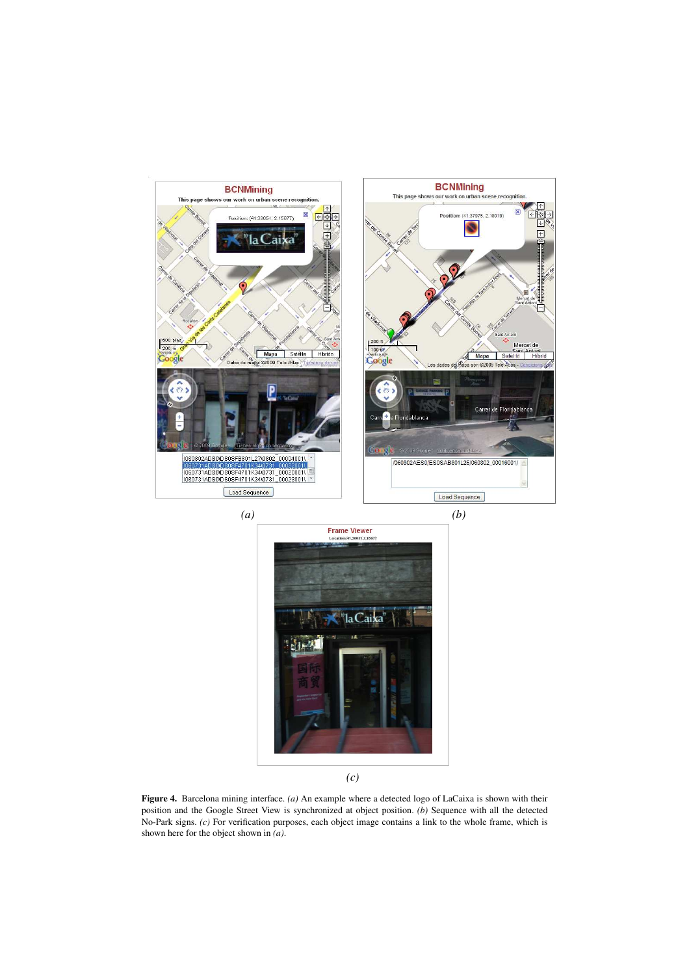

Figure 4. Barcelona mining interface. *(a)* An example where a detected logo of LaCaixa is shown with their position and the Google Street View is synchronized at object position. *(b)* Sequence with all the detected No-Park signs. *(c)* For verification purposes, each object image contains a link to the whole frame, which is shown here for the object shown in *(a)*.

*(c)*